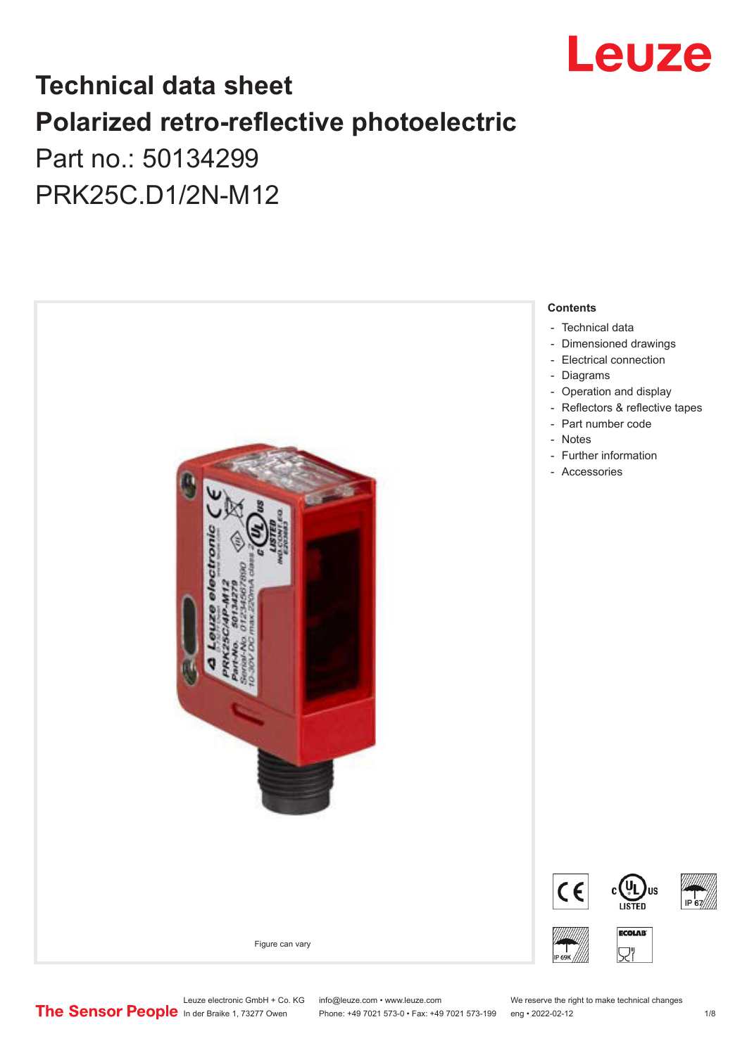

# **Technical data sheet Polarized retro-reflective photoelectric**  Part no.: 50134299

PRK25C.D1/2N-M12



Leuze electronic GmbH + Co. KG info@leuze.com • www.leuze.com We reserve the right to make technical changes<br>
The Sensor People in der Braike 1, 73277 Owen Phone: +49 7021 573-0 • Fax: +49 7021 573-199 eng • 2022-02-12 Phone: +49 7021 573-0 • Fax: +49 7021 573-199 eng • 2022-02-12 12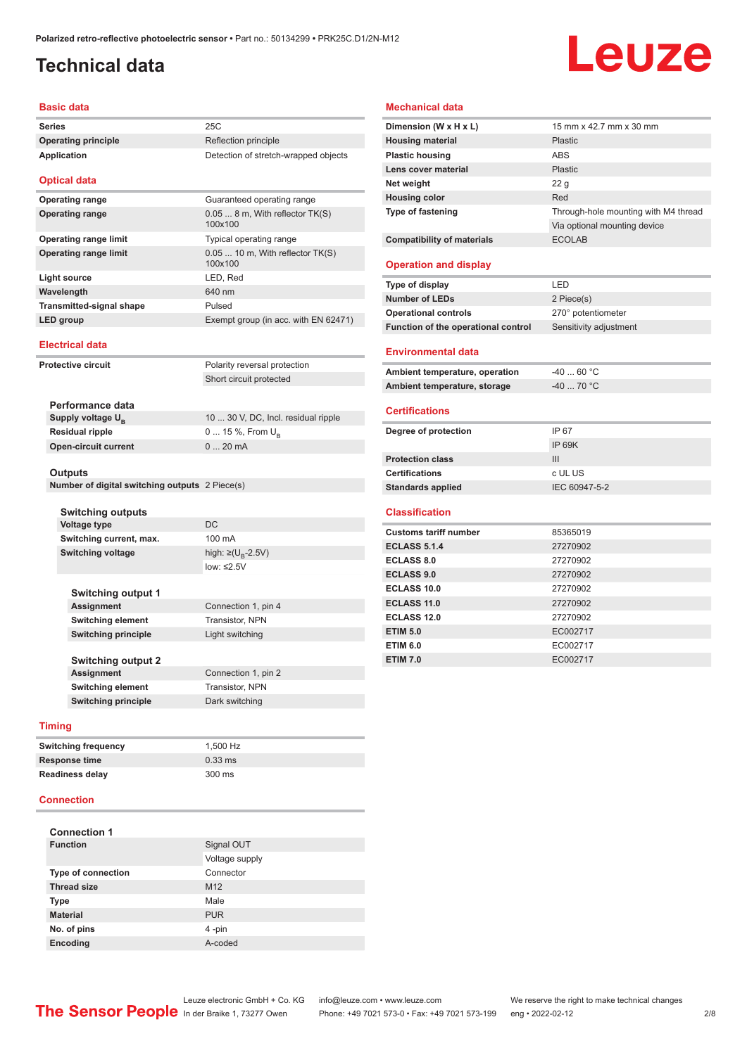# <span id="page-1-0"></span>**Technical data**

# Leuze

## **Basic data**

| <b>Series</b>                   | 25C                                          |
|---------------------------------|----------------------------------------------|
| <b>Operating principle</b>      | Reflection principle                         |
| <b>Application</b>              | Detection of stretch-wrapped objects         |
| <b>Optical data</b>             |                                              |
| <b>Operating range</b>          | Guaranteed operating range                   |
| <b>Operating range</b>          | $0.058$ m, With reflector TK(S)<br>100x100   |
| <b>Operating range limit</b>    | Typical operating range                      |
| <b>Operating range limit</b>    | $0.05$ 10 m, With reflector TK(S)<br>100x100 |
| Light source                    | LED, Red                                     |
| Wavelength                      | 640 nm                                       |
| <b>Transmitted-signal shape</b> | Pulsed                                       |
| LED group                       | Exempt group (in acc. with EN 62471)         |
|                                 |                                              |

## **Electrical data**

| <b>Protective circuit</b>     | Polarity reversal protection        |
|-------------------------------|-------------------------------------|
|                               | Short circuit protected             |
|                               |                                     |
| Performance data              |                                     |
| Supply voltage U <sub>p</sub> | 10  30 V, DC, Incl. residual ripple |

**0 ... 15 %, From U<sub>B</sub> Open-circuit current** 0 ... 20 mA

| <b>Residual ripple</b>      |  |
|-----------------------------|--|
| <b>Open-circuit current</b> |  |

### **Outputs**

|  | Number of digital switching outputs 2 Piece(s) |  |  |
|--|------------------------------------------------|--|--|
|  |                                                |  |  |

| <b>Switching outputs</b>  |                       |
|---------------------------|-----------------------|
| <b>Voltage type</b>       | DC.                   |
| Switching current, max.   | 100 mA                |
| <b>Switching voltage</b>  | high: ≥( $U_p$ -2.5V) |
|                           | $low: \leq 2.5V$      |
|                           |                       |
| <b>Switching output 1</b> |                       |
| <b>Assignment</b>         | Connection 1, pin 4   |
| <b>Switching element</b>  | Transistor, NPN       |

**Switching principle** Light switching

**Switching output 2 Assignment** Connection 1, pin 2 **Switching element** Transistor, NPN **Switching principle** Dark switching

#### **Timing**

| <b>Switching frequency</b> | 1.500 Hz  |
|----------------------------|-----------|
| <b>Response time</b>       | $0.33$ ms |
| <b>Readiness delay</b>     | 300 ms    |

### **Connection**

| <b>Connection 1</b>       |                 |
|---------------------------|-----------------|
| <b>Function</b>           | Signal OUT      |
|                           | Voltage supply  |
| <b>Type of connection</b> | Connector       |
| <b>Thread size</b>        | M <sub>12</sub> |
| <b>Type</b>               | Male            |
| <b>Material</b>           | <b>PUR</b>      |
| No. of pins               | 4-pin           |
| <b>Encoding</b>           | A-coded         |

## **Mechanical data**

| Dimension (W x H x L)               | 15 mm x 42.7 mm x 30 mm              |
|-------------------------------------|--------------------------------------|
| <b>Housing material</b>             | Plastic                              |
| <b>Plastic housing</b>              | ABS                                  |
| Lens cover material                 | Plastic                              |
| Net weight                          | 22 <sub>q</sub>                      |
| <b>Housing color</b>                | Red                                  |
| <b>Type of fastening</b>            | Through-hole mounting with M4 thread |
|                                     | Via optional mounting device         |
| <b>Compatibility of materials</b>   | <b>ECOLAB</b>                        |
| <b>Operation and display</b>        |                                      |
| Type of display                     | LED                                  |
| <b>Number of LEDs</b>               | 2 Piece(s)                           |
| <b>Operational controls</b>         | 270° potentiometer                   |
| Function of the operational control | Sensitivity adjustment               |
|                                     |                                      |

## **Environmental data**

| Ambient temperature, operation | -40  60 °C |
|--------------------------------|------------|
| Ambient temperature, storage   | -40  70 °C |

### **Certifications**

| Degree of protection     | IP 67         |
|--------------------------|---------------|
|                          | IP 69K        |
| <b>Protection class</b>  | Ш             |
| <b>Certifications</b>    | c UL US       |
| <b>Standards applied</b> | IEC 60947-5-2 |

### **Classification**

| <b>Customs tariff number</b> | 85365019 |
|------------------------------|----------|
| <b>ECLASS 5.1.4</b>          | 27270902 |
| <b>ECLASS 8.0</b>            | 27270902 |
| <b>ECLASS 9.0</b>            | 27270902 |
| ECLASS 10.0                  | 27270902 |
| ECLASS 11.0                  | 27270902 |
| ECLASS 12.0                  | 27270902 |
| <b>ETIM 5.0</b>              | EC002717 |
| <b>ETIM 6.0</b>              | EC002717 |
| <b>ETIM 7.0</b>              | EC002717 |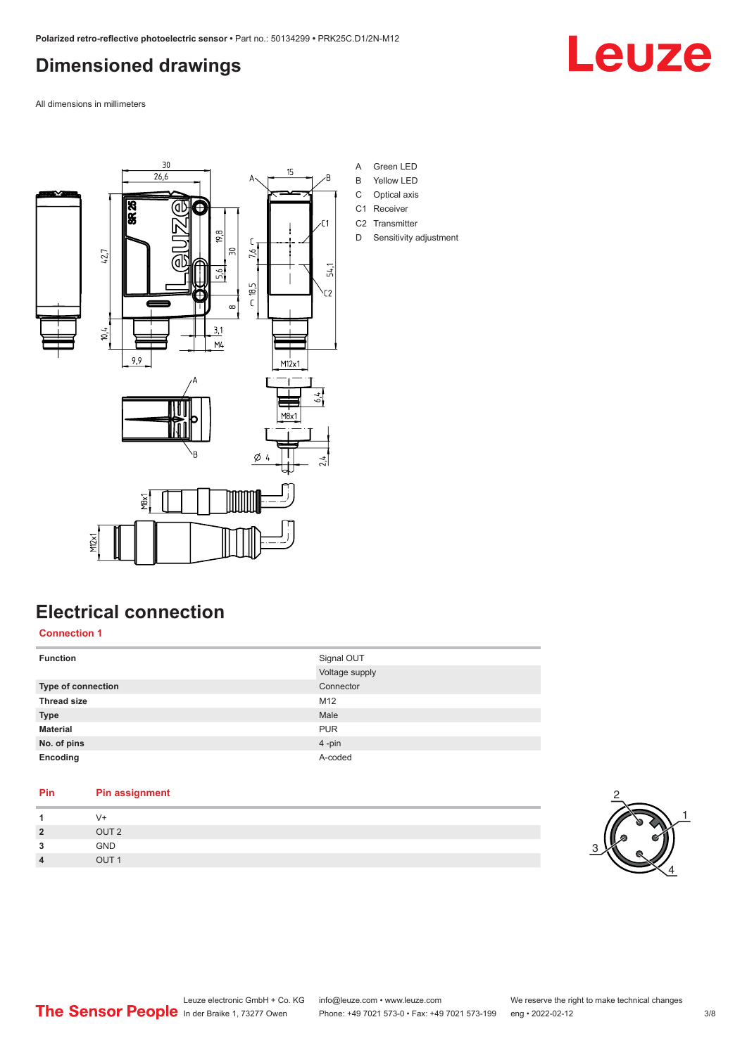## <span id="page-2-0"></span>**Dimensioned drawings**

All dimensions in millimeters



- A Green LED
- B Yellow LED
- C Optical axis C1 Receiver
- C<sub>2</sub> Transmitter
- D Sensitivity adjustment

# **Electrical connection**

**Connection 1**

| <b>Function</b>    | Signal OUT<br>Voltage supply |
|--------------------|------------------------------|
| Type of connection | Connector                    |
| <b>Thread size</b> | M12                          |
| <b>Type</b>        | Male                         |
| <b>Material</b>    | <b>PUR</b>                   |
| No. of pins        | 4-pin                        |
| Encoding           | A-coded                      |

## **Pin Pin assignment** 1 V+<br>2 OU **2** OUT 2





# Leuze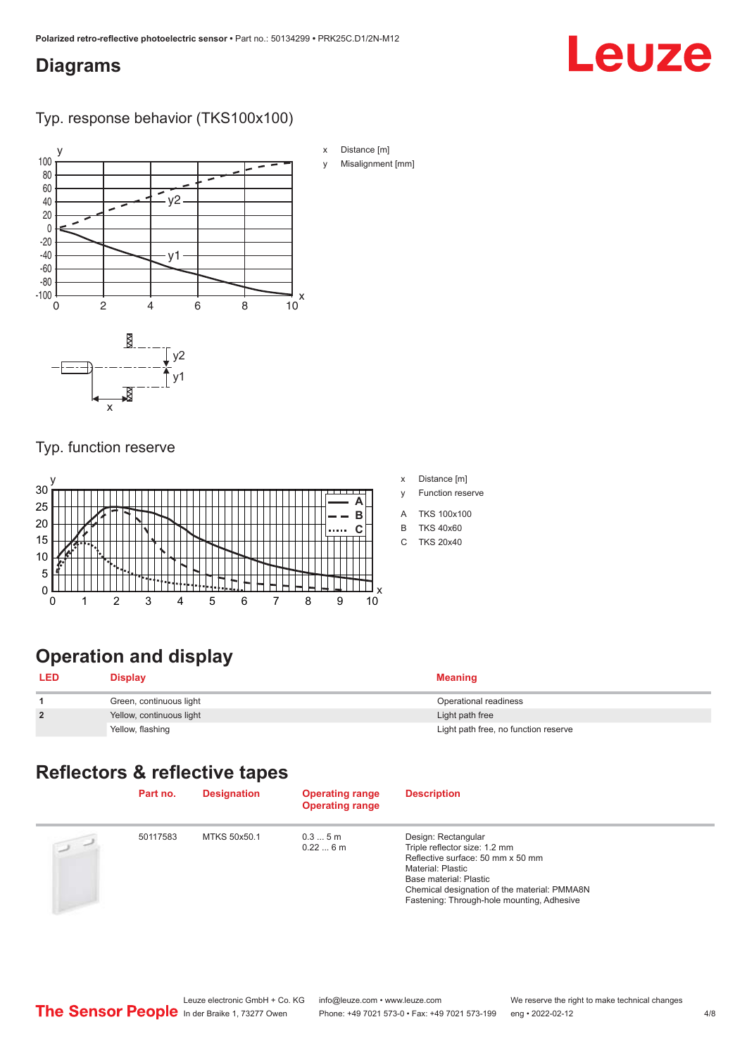## <span id="page-3-0"></span>**Diagrams**

# Leuze

Typ. response behavior (TKS100x100)



## Typ. function reserve



- x Distance [m]
- y Function reserve
- A TKS 100x100
- B TKS 40x60
- C TKS 20x40

# **Operation and display**

| <b>LED</b>     | <b>Display</b>           | <b>Meaning</b>                       |
|----------------|--------------------------|--------------------------------------|
|                | Green, continuous light  | Operational readiness                |
| $\overline{2}$ | Yellow, continuous light | Light path free                      |
|                | Yellow, flashing         | Light path free, no function reserve |

## **Reflectors & reflective tapes**

|                | Part no. | <b>Designation</b> | <b>Operating range</b><br><b>Operating range</b> | <b>Description</b>                                                                                                                                                                                                                     |
|----------------|----------|--------------------|--------------------------------------------------|----------------------------------------------------------------------------------------------------------------------------------------------------------------------------------------------------------------------------------------|
| $\overline{u}$ | 50117583 | MTKS 50x50.1       | 0.35m<br>0.226m                                  | Design: Rectangular<br>Triple reflector size: 1.2 mm<br>Reflective surface: 50 mm x 50 mm<br>Material: Plastic<br>Base material: Plastic<br>Chemical designation of the material: PMMA8N<br>Fastening: Through-hole mounting, Adhesive |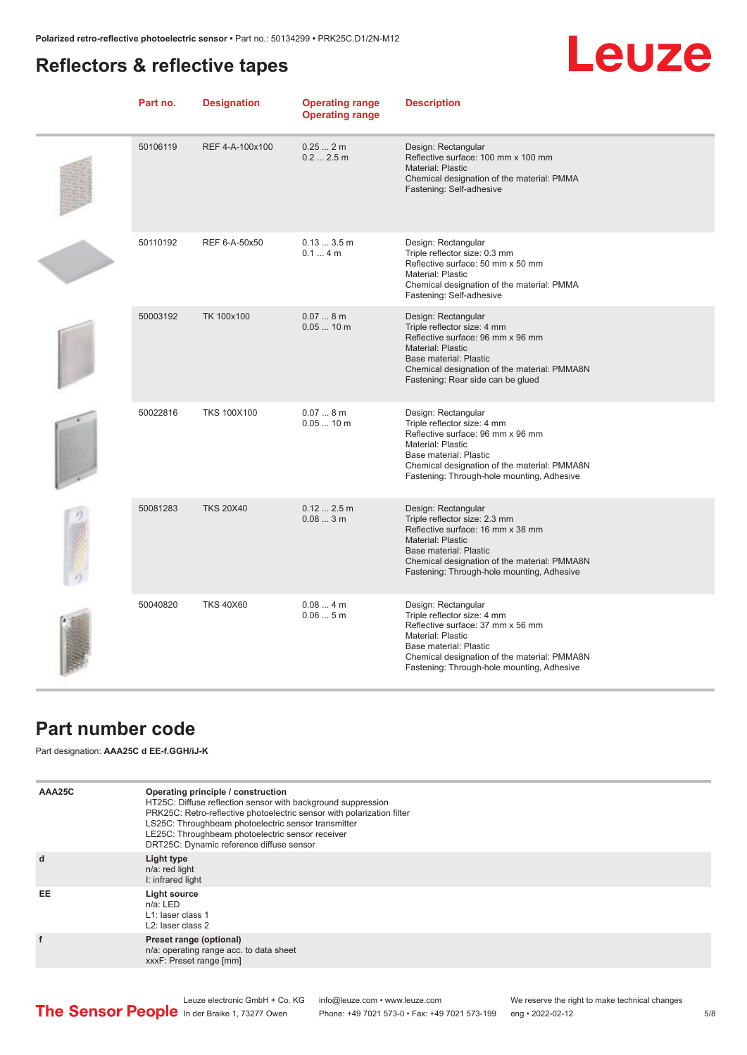## <span id="page-4-0"></span>**Reflectors & reflective tapes**



| Part no. | <b>Designation</b> | <b>Operating range</b><br><b>Operating range</b> | <b>Description</b>                                                                                                                                                                                                                            |
|----------|--------------------|--------------------------------------------------|-----------------------------------------------------------------------------------------------------------------------------------------------------------------------------------------------------------------------------------------------|
| 50106119 | REF 4-A-100x100    | 0.252m<br>0.22.5m                                | Design: Rectangular<br>Reflective surface: 100 mm x 100 mm<br>Material: Plastic<br>Chemical designation of the material: PMMA<br>Fastening: Self-adhesive                                                                                     |
| 50110192 | REF 6-A-50x50      | 0.133.5m<br>0.14m                                | Design: Rectangular<br>Triple reflector size: 0.3 mm<br>Reflective surface: 50 mm x 50 mm<br><b>Material: Plastic</b><br>Chemical designation of the material: PMMA<br>Fastening: Self-adhesive                                               |
| 50003192 | TK 100x100         | 0.078m<br>$0.0510$ m                             | Design: Rectangular<br>Triple reflector size: 4 mm<br>Reflective surface: 96 mm x 96 mm<br>Material: Plastic<br><b>Base material: Plastic</b><br>Chemical designation of the material: PMMA8N<br>Fastening: Rear side can be glued            |
| 50022816 | <b>TKS 100X100</b> | 0.078m<br>$0.0510$ m                             | Design: Rectangular<br>Triple reflector size: 4 mm<br>Reflective surface: 96 mm x 96 mm<br>Material: Plastic<br>Base material: Plastic<br>Chemical designation of the material: PMMA8N<br>Fastening: Through-hole mounting, Adhesive          |
| 50081283 | <b>TKS 20X40</b>   | 0.122.5m<br>0.083m                               | Design: Rectangular<br>Triple reflector size: 2.3 mm<br>Reflective surface: 16 mm x 38 mm<br>Material: Plastic<br><b>Base material: Plastic</b><br>Chemical designation of the material: PMMA8N<br>Fastening: Through-hole mounting, Adhesive |
| 50040820 | <b>TKS 40X60</b>   | 0.084m<br>0.065m                                 | Design: Rectangular<br>Triple reflector size: 4 mm<br>Reflective surface: 37 mm x 56 mm<br><b>Material: Plastic</b><br>Base material: Plastic<br>Chemical designation of the material: PMMA8N<br>Fastening: Through-hole mounting, Adhesive   |

## **Part number code**

Part designation: **AAA25C d EE-f.GGH/iJ-K**

| AAA25C | Operating principle / construction<br>HT25C: Diffuse reflection sensor with background suppression<br>PRK25C: Retro-reflective photoelectric sensor with polarization filter<br>LS25C: Throughbeam photoelectric sensor transmitter<br>LE25C: Throughbeam photoelectric sensor receiver<br>DRT25C: Dynamic reference diffuse sensor |
|--------|-------------------------------------------------------------------------------------------------------------------------------------------------------------------------------------------------------------------------------------------------------------------------------------------------------------------------------------|
| d      | Light type<br>n/a: red light<br>I: infrared light                                                                                                                                                                                                                                                                                   |
| EE     | Light source<br>$n/a$ : LED<br>L1: laser class 1<br>L <sub>2</sub> : laser class 2                                                                                                                                                                                                                                                  |
| f      | Preset range (optional)<br>n/a: operating range acc. to data sheet<br>xxxF: Preset range [mm]                                                                                                                                                                                                                                       |

Phone: +49 7021 573-0 • Fax: +49 7021 573-199 eng • 2022-02-12 5/8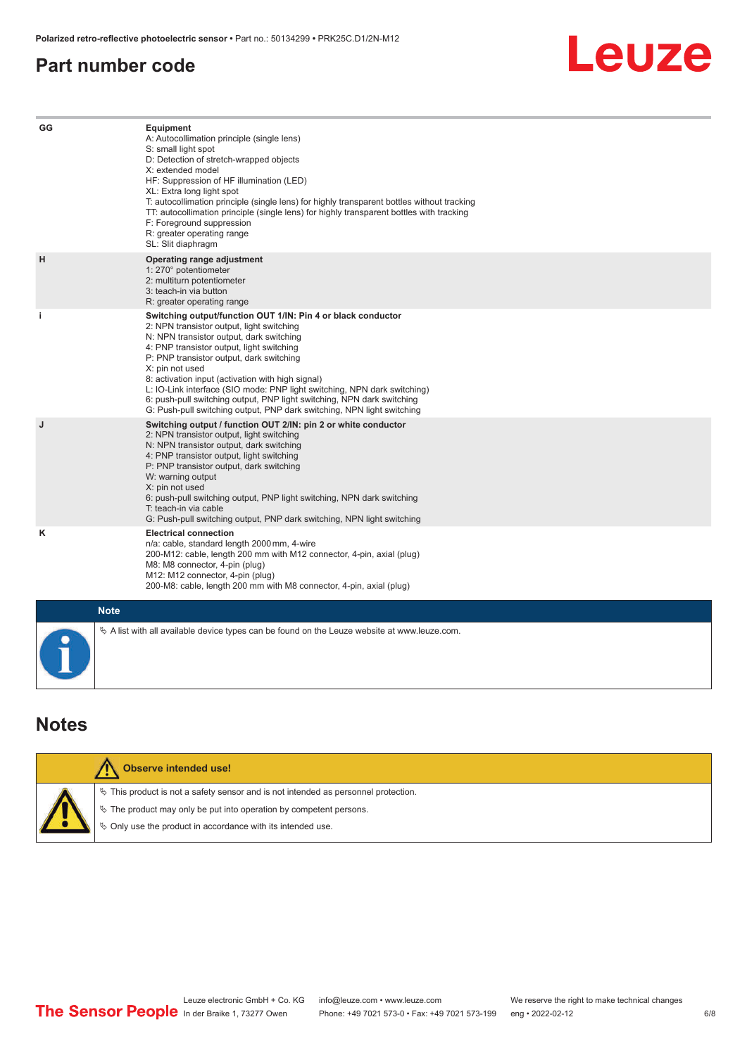## <span id="page-5-0"></span>**Part number code**

# Leuze

| GG        | <b>Equipment</b><br>A: Autocollimation principle (single lens)<br>S: small light spot<br>D: Detection of stretch-wrapped objects<br>X: extended model<br>HF: Suppression of HF illumination (LED)<br>XL: Extra long light spot<br>T: autocollimation principle (single lens) for highly transparent bottles without tracking<br>TT: autocollimation principle (single lens) for highly transparent bottles with tracking<br>F: Foreground suppression<br>R: greater operating range<br>SL: Slit diaphragm                                              |
|-----------|--------------------------------------------------------------------------------------------------------------------------------------------------------------------------------------------------------------------------------------------------------------------------------------------------------------------------------------------------------------------------------------------------------------------------------------------------------------------------------------------------------------------------------------------------------|
| H         | Operating range adjustment<br>1: 270° potentiometer<br>2: multiturn potentiometer<br>3: teach-in via button<br>R: greater operating range                                                                                                                                                                                                                                                                                                                                                                                                              |
| j.        | Switching output/function OUT 1/IN: Pin 4 or black conductor<br>2: NPN transistor output, light switching<br>N: NPN transistor output, dark switching<br>4: PNP transistor output, light switching<br>P: PNP transistor output, dark switching<br>X: pin not used<br>8: activation input (activation with high signal)<br>L: IO-Link interface (SIO mode: PNP light switching, NPN dark switching)<br>6: push-pull switching output, PNP light switching, NPN dark switching<br>G: Push-pull switching output, PNP dark switching, NPN light switching |
| J         | Switching output / function OUT 2/IN: pin 2 or white conductor<br>2: NPN transistor output, light switching<br>N: NPN transistor output, dark switching<br>4: PNP transistor output, light switching<br>P: PNP transistor output, dark switching<br>W: warning output<br>X: pin not used<br>6: push-pull switching output, PNP light switching, NPN dark switching<br>T: teach-in via cable<br>G: Push-pull switching output, PNP dark switching, NPN light switching                                                                                  |
| Κ         | <b>Electrical connection</b><br>n/a: cable, standard length 2000 mm, 4-wire<br>200-M12: cable, length 200 mm with M12 connector, 4-pin, axial (plug)<br>M8: M8 connector, 4-pin (plug)<br>M12: M12 connector, 4-pin (plug)<br>200-M8: cable, length 200 mm with M8 connector, 4-pin, axial (plug)                                                                                                                                                                                                                                                      |
|           | <b>Note</b>                                                                                                                                                                                                                                                                                                                                                                                                                                                                                                                                            |
| $\bullet$ | $\&$ A list with all available device types can be found on the Leuze website at www.leuze.com.                                                                                                                                                                                                                                                                                                                                                                                                                                                        |

## **Notes**

| <b>Observe intended use!</b>                                                                                                                                                                                                  |
|-------------------------------------------------------------------------------------------------------------------------------------------------------------------------------------------------------------------------------|
| $\%$ This product is not a safety sensor and is not intended as personnel protection.<br>$\%$ The product may only be put into operation by competent persons.<br>♦ Only use the product in accordance with its intended use. |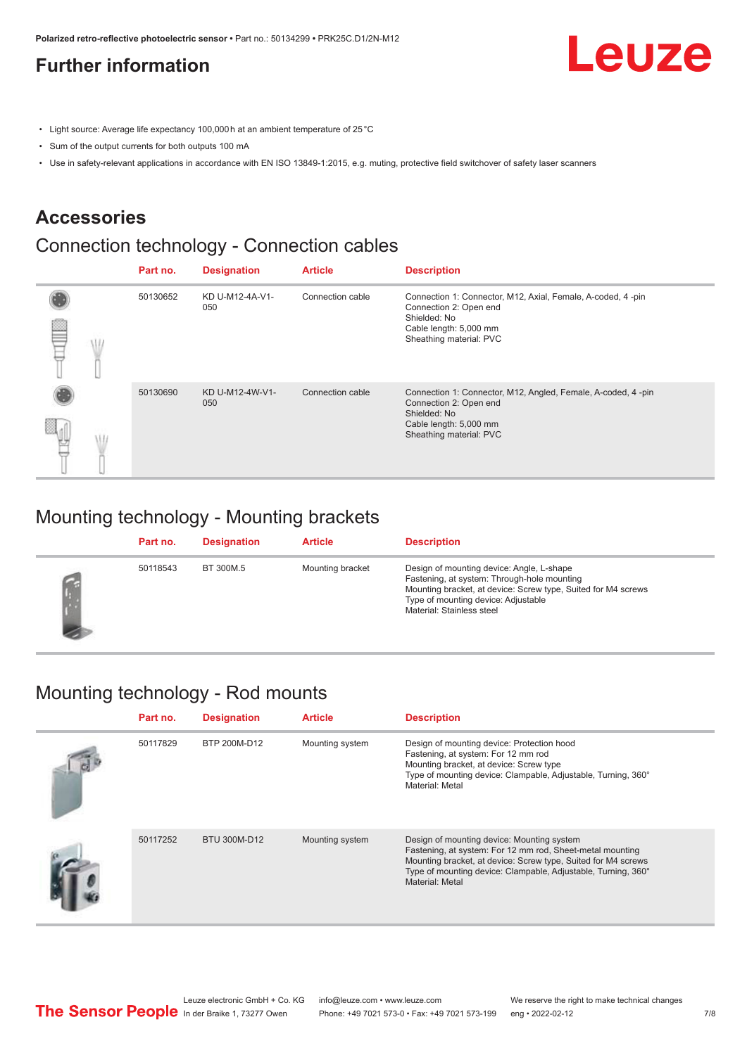# <span id="page-6-0"></span>**Further information**

- Light source: Average life expectancy 100,000 h at an ambient temperature of 25 °C
- Sum of the output currents for both outputs 100 mA
- Use in safety-relevant applications in accordance with EN ISO 13849-1:2015, e.g. muting, protective field switchover of safety laser scanners

## **Accessories**

# Connection technology - Connection cables

|  | Part no. | <b>Designation</b>     | <b>Article</b>   | <b>Description</b>                                                                                                                                          |
|--|----------|------------------------|------------------|-------------------------------------------------------------------------------------------------------------------------------------------------------------|
|  | 50130652 | KD U-M12-4A-V1-<br>050 | Connection cable | Connection 1: Connector, M12, Axial, Female, A-coded, 4-pin<br>Connection 2: Open end<br>Shielded: No<br>Cable length: 5,000 mm<br>Sheathing material: PVC  |
|  | 50130690 | KD U-M12-4W-V1-<br>050 | Connection cable | Connection 1: Connector, M12, Angled, Female, A-coded, 4-pin<br>Connection 2: Open end<br>Shielded: No<br>Cable length: 5,000 mm<br>Sheathing material: PVC |

## Mounting technology - Mounting brackets

| Part no. | <b>Designation</b> | <b>Article</b>   | <b>Description</b>                                                                                                                                                                                                            |
|----------|--------------------|------------------|-------------------------------------------------------------------------------------------------------------------------------------------------------------------------------------------------------------------------------|
| 50118543 | BT 300M.5          | Mounting bracket | Design of mounting device: Angle, L-shape<br>Fastening, at system: Through-hole mounting<br>Mounting bracket, at device: Screw type, Suited for M4 screws<br>Type of mounting device: Adjustable<br>Material: Stainless steel |

## Mounting technology - Rod mounts

| Part no. | <b>Designation</b> | <b>Article</b>  | <b>Description</b>                                                                                                                                                                                                                                           |
|----------|--------------------|-----------------|--------------------------------------------------------------------------------------------------------------------------------------------------------------------------------------------------------------------------------------------------------------|
| 50117829 | BTP 200M-D12       | Mounting system | Design of mounting device: Protection hood<br>Fastening, at system: For 12 mm rod<br>Mounting bracket, at device: Screw type<br>Type of mounting device: Clampable, Adjustable, Turning, 360°<br>Material: Metal                                             |
| 50117252 | BTU 300M-D12       | Mounting system | Design of mounting device: Mounting system<br>Fastening, at system: For 12 mm rod, Sheet-metal mounting<br>Mounting bracket, at device: Screw type, Suited for M4 screws<br>Type of mounting device: Clampable, Adjustable, Turning, 360°<br>Material: Metal |